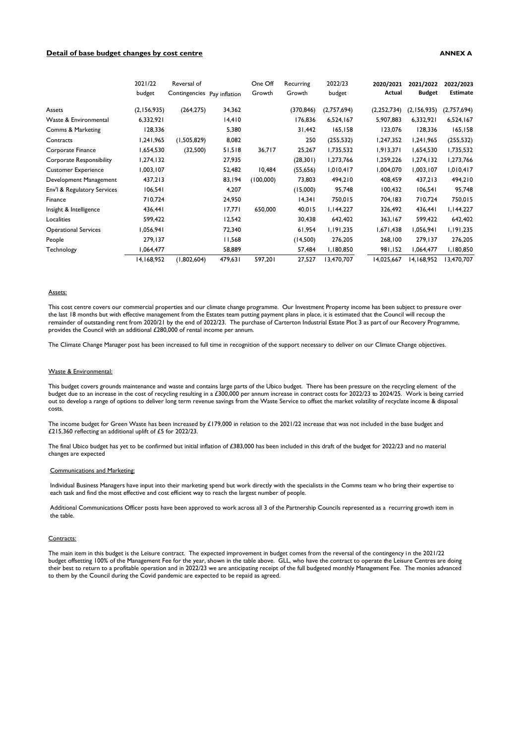# **Detail of base budget changes by cost centre ANNEX A**

|                                 | 2021/22<br>budget | Reversal of<br>Contingencies Pay inflation |         | One Off<br>Growth | Recurring<br>Growth | 2022/23<br>budget | 2020/2021<br>Actual | 2021/2022<br><b>Budget</b> | 2022/2023<br><b>Estimate</b> |
|---------------------------------|-------------------|--------------------------------------------|---------|-------------------|---------------------|-------------------|---------------------|----------------------------|------------------------------|
|                                 |                   |                                            |         |                   |                     |                   |                     |                            |                              |
| Assets                          | (2,156,935)       | (264, 275)                                 | 34,362  |                   | (370, 846)          | (2,757,694)       | (2,252,734)         | (2,156,935)                | (2,757,694)                  |
| Waste & Environmental           | 6,332,921         |                                            | 14,410  |                   | 176,836             | 6,524,167         | 5,907,883           | 6,332,921                  | 6,524,167                    |
| Comms & Marketing               | 128,336           |                                            | 5,380   |                   | 31,442              | 165,158           | 123,076             | 128,336                    | 165, 158                     |
| Contracts                       | 1,241,965         | (1,505,829)                                | 8,082   |                   | 250                 | (255, 532)        | 1,247,352           | 1,241,965                  | (255, 532)                   |
| Corporate Finance               | 1,654,530         | (32,500)                                   | 51,518  | 36,717            | 25,267              | 1,735,532         | 1,913,371           | 1,654,530                  | 1,735,532                    |
| <b>Corporate Responsibility</b> | 1,274,132         |                                            | 27,935  |                   | (28, 301)           | 1,273,766         | 1,259,226           | 1,274,132                  | 1,273,766                    |
| <b>Customer Experience</b>      | 1,003,107         |                                            | 52,482  | 10,484            | (55, 656)           | 1,010,417         | 1,004,070           | 1,003,107                  | 1,010,417                    |
| Development Management          | 437,213           |                                            | 83,194  | (100,000)         | 73,803              | 494,210           | 408,459             | 437,213                    | 494,210                      |
| Env'l & Regulatory Services     | 106,541           |                                            | 4,207   |                   | (15,000)            | 95,748            | 100,432             | 106,541                    | 95,748                       |
| Finance                         | 710,724           |                                            | 24,950  |                   | 14,341              | 750,015           | 704,183             | 710,724                    | 750,015                      |
| Insight & Intelligence          | 436,441           |                                            | 17,771  | 650,000           | 40,015              | I, 144, 227       | 326,492             | 436,441                    | I, 144, 227                  |
| Localities                      | 599,422           |                                            | 12,542  |                   | 30,438              | 642,402           | 363,167             | 599,422                    | 642,402                      |
| <b>Operational Services</b>     | ا 1,056,94        |                                            | 72,340  |                   | 61,954              | 1,191,235         | 1,671,438           | ا 1,056,94                 | 1,191,235                    |
| People                          | 279,137           |                                            | 11,568  |                   | (14,500)            | 276,205           | 268,100             | 279,137                    | 276,205                      |
| Technology                      | 1,064,477         |                                            | 58,889  |                   | 57,484              | 1,180,850         | 981,152             | 1,064,477                  | 1,180,850                    |
|                                 | 14,168,952        | (1,802,604)                                | 479,631 | 597,201           | 27,527              | 13,470,707        | 14,025,667          | 14,168,952                 | 13,470,707                   |

### Assets:

This cost centre covers our commercial properties and our climate change programme. Our Investment Property income has been subject to pressure over the last 18 months but with effective management from the Estates team putting payment plans in place, it is estimated that the Council will recoup the remainder of outstanding rent from 2020/21 by the end of 2022/23. The purchase of Carterton Industrial Estate Plot 3 as part of our Recovery Programme, provides the Council with an additional £280,000 of rental income per annum.

The Climate Change Manager post has been increased to full time in recognition of the support necessary to deliver on our Climate Change objectives.

# Waste & Environmental:

This budget covers grounds maintenance and waste and contains large parts of the Ubico budget. There has been pressure on the recycling element of the budget due to an increase in the cost of recycling resulting in a £300,000 per annum increase in contract costs for 2022/23 to 2024/25. Work is being carried out to develop a range of options to deliver long term revenue savings from the Waste Service to offset the market volatility of recyclate income & disposal costs.

The income budget for Green Waste has been increased by £179,000 in relation to the 2021/22 increase that was not included in the base budget and £215,360 reflecting an additional uplift of £5 for 2022/23.

The final Ubico budget has yet to be confirmed but initial inflation of £383,000 has been included in this draft of the budget for 2022/23 and no material changes are expected

## Communications and Marketing:

Individual Business Managers have input into their marketing spend but work directly with the specialists in the Comms team w ho bring their expertise to each task and find the most effective and cost efficient way to reach the largest number of people.

Additional Communications Officer posts have been approved to work across all 3 of the Partnership Councils represented as a recurring growth item in the table.

# Contracts:

The main item in this budget is the Leisure contract. The expected improvement in budget comes from the reversal of the contingency in the 2021/22 budget offsetting 100% of the Management Fee for the year, shown in the table above. GLL, who have the contract to operate the Leisure Centres are doing their best to return to a profitable operation and in 2022/23 we are anticipating receipt of the full budgeted monthly Management Fee. The monies advanced to them by the Council during the Covid pandemic are expected to be repaid as agreed.